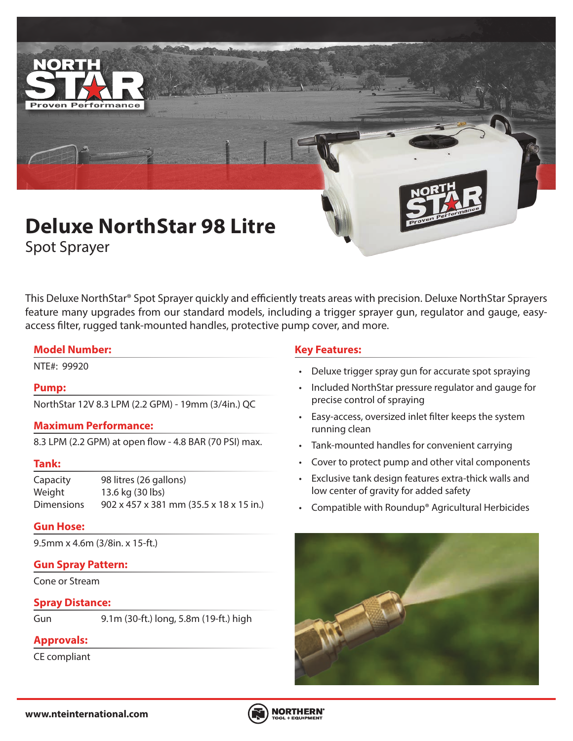

Spot Sprayer

This Deluxe NorthStar® Spot Sprayer quickly and efficiently treats areas with precision. Deluxe NorthStar Sprayers feature many upgrades from our standard models, including a trigger sprayer gun, regulator and gauge, easyaccess filter, rugged tank-mounted handles, protective pump cover, and more.

### **Model Number:**

# **Pump:**

NorthStar 12V 8.3 LPM (2.2 GPM) - 19mm (3/4in.) QC

### **Maximum Performance:**

8.3 LPM (2.2 GPM) at open flow - 4.8 BAR (70 PSI) max.

### **Tank:**

Capacity 98 litres (26 gallons) Weight 13.6 kg (30 lbs) Dimensions 902 x 457 x 381 mm (35.5 x 18 x 15 in.)

### **Gun Hose:**

9.5mm x 4.6m (3/8in. x 15-ft.)

### **Gun Spray Pattern:**

Cone or Stream

### **Spray Distance:**

Gun 9.1m (30-ft.) long, 5.8m (19-ft.) high

# **Approvals:**

CE compliant

# **Key Features:**

- NTE#: 99920 Deluxe trigger spray gun for accurate spot spraying
	- Included NorthStar pressure regulator and gauge for precise control of spraying
	- Easy-access, oversized inlet filter keeps the system running clean
	- Tank-mounted handles for convenient carrying
	- Cover to protect pump and other vital components
	- Exclusive tank design features extra-thick walls and low center of gravity for added safety
	- Compatible with Roundup® Agricultural Herbicides